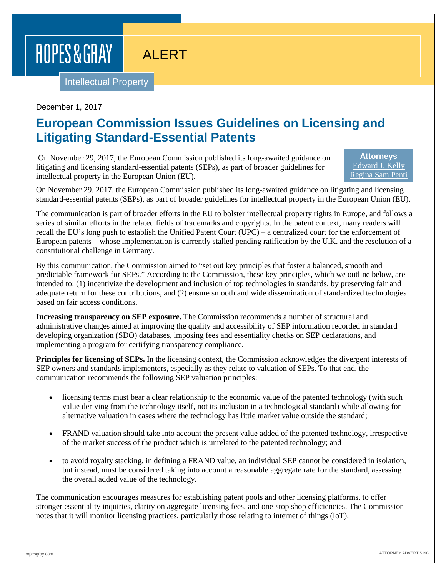## ROPES & GRAY

## ALERT

Intellectual Property

December 1, 2017

## **European Commission Issues Guidelines on Licensing and Litigating Standard-Essential Patents**

On November 29, 2017, the European Commission published its long-awaited guidance on litigating and licensing standard-essential patents (SEPs), as part of broader guidelines for intellectual property in the European Union (EU).

**Attorneys** [Edward J. Kelly](https://www.ropesgray.com/biographies/k/Kelly-Edward.aspx) [Regina Sam Penti](https://www.ropesgray.com/biographies/p/regina-sam-penti.aspx)

On November 29, 2017, the European Commission published its long-awaited guidance on litigating and licensing standard-essential patents (SEPs), as part of broader guidelines for intellectual property in the European Union (EU).

The communication is part of broader efforts in the EU to bolster intellectual property rights in Europe, and follows a series of similar efforts in the related fields of trademarks and copyrights. In the patent context, many readers will recall the EU's long push to establish the Unified Patent Court (UPC) – a centralized court for the enforcement of European patents – whose implementation is currently stalled pending ratification by the U.K. and the resolution of a constitutional challenge in Germany.

By this communication, the Commission aimed to "set out key principles that foster a balanced, smooth and predictable framework for SEPs." According to the Commission, these key principles, which we outline below, are intended to: (1) incentivize the development and inclusion of top technologies in standards, by preserving fair and adequate return for these contributions, and (2) ensure smooth and wide dissemination of standardized technologies based on fair access conditions.

**Increasing transparency on SEP exposure.** The Commission recommends a number of structural and administrative changes aimed at improving the quality and accessibility of SEP information recorded in standard developing organization (SDO) databases, imposing fees and essentiality checks on SEP declarations, and implementing a program for certifying transparency compliance.

**Principles for licensing of SEPs.** In the licensing context, the Commission acknowledges the divergent interests of SEP owners and standards implementers, especially as they relate to valuation of SEPs. To that end, the communication recommends the following SEP valuation principles:

- licensing terms must bear a clear relationship to the economic value of the patented technology (with such value deriving from the technology itself, not its inclusion in a technological standard) while allowing for alternative valuation in cases where the technology has little market value outside the standard;
- FRAND valuation should take into account the present value added of the patented technology, irrespective of the market success of the product which is unrelated to the patented technology; and
- to avoid royalty stacking, in defining a FRAND value, an individual SEP cannot be considered in isolation, but instead, must be considered taking into account a reasonable aggregate rate for the standard, assessing the overall added value of the technology.

The communication encourages measures for establishing patent pools and other licensing platforms, to offer stronger essentiality inquiries, clarity on aggregate licensing fees, and one-stop shop efficiencies. The Commission notes that it will monitor licensing practices, particularly those relating to internet of things (IoT).